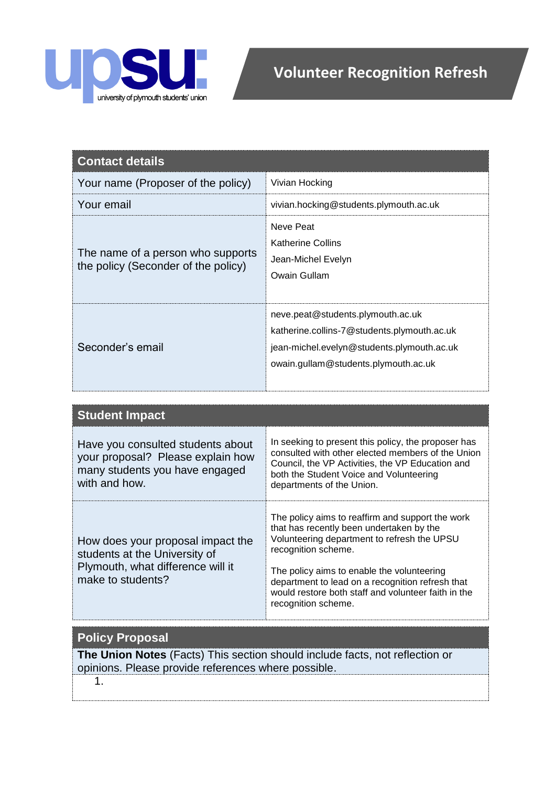

| <b>Contact details</b>                                                   |                                                                                                                                                                        |
|--------------------------------------------------------------------------|------------------------------------------------------------------------------------------------------------------------------------------------------------------------|
| Your name (Proposer of the policy)                                       | Vivian Hocking                                                                                                                                                         |
| Your email                                                               | vivian.hocking@students.plymouth.ac.uk                                                                                                                                 |
| The name of a person who supports<br>the policy (Seconder of the policy) | Neve Peat<br><b>Katherine Collins</b><br>Jean-Michel Evelyn<br>Owain Gullam                                                                                            |
| Seconder's email                                                         | neve.peat@students.plymouth.ac.uk<br>katherine.collins-7@students.plymouth.ac.uk<br>jean-michel.evelyn@students.plymouth.ac.uk<br>owain.gullam@students.plymouth.ac.uk |

| <b>Student Impact</b>                                                                                                        |                                                                                                                                                                                                                                                                                                                                                    |
|------------------------------------------------------------------------------------------------------------------------------|----------------------------------------------------------------------------------------------------------------------------------------------------------------------------------------------------------------------------------------------------------------------------------------------------------------------------------------------------|
| Have you consulted students about<br>your proposal? Please explain how<br>many students you have engaged<br>with and how.    | In seeking to present this policy, the proposer has<br>consulted with other elected members of the Union<br>Council, the VP Activities, the VP Education and<br>both the Student Voice and Volunteering<br>departments of the Union.                                                                                                               |
| How does your proposal impact the<br>students at the University of<br>Plymouth, what difference will it<br>make to students? | The policy aims to reaffirm and support the work<br>that has recently been undertaken by the<br>Volunteering department to refresh the UPSU<br>recognition scheme.<br>The policy aims to enable the volunteering<br>department to lead on a recognition refresh that<br>would restore both staff and volunteer faith in the<br>recognition scheme. |

| <b>Policy Proposal</b>                                                       |
|------------------------------------------------------------------------------|
| The Union Notes (Facts) This section should include facts, not reflection or |
| opinions. Please provide references where possible.                          |
|                                                                              |

1.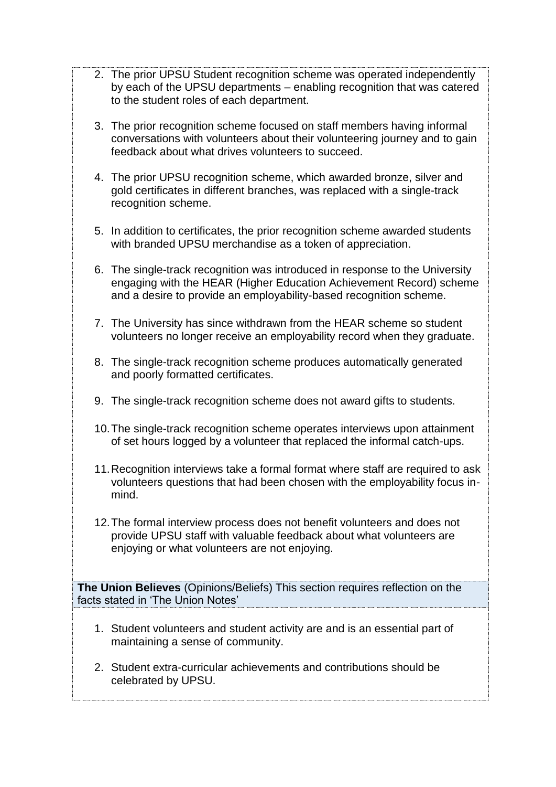- 2. The prior UPSU Student recognition scheme was operated independently by each of the UPSU departments – enabling recognition that was catered to the student roles of each department.
- 3. The prior recognition scheme focused on staff members having informal conversations with volunteers about their volunteering journey and to gain feedback about what drives volunteers to succeed.
- 4. The prior UPSU recognition scheme, which awarded bronze, silver and gold certificates in different branches, was replaced with a single-track recognition scheme.
- 5. In addition to certificates, the prior recognition scheme awarded students with branded UPSU merchandise as a token of appreciation.
- 6. The single-track recognition was introduced in response to the University engaging with the HEAR (Higher Education Achievement Record) scheme and a desire to provide an employability-based recognition scheme.
- 7. The University has since withdrawn from the HEAR scheme so student volunteers no longer receive an employability record when they graduate.
- 8. The single-track recognition scheme produces automatically generated and poorly formatted certificates.
- 9. The single-track recognition scheme does not award gifts to students.
- 10.The single-track recognition scheme operates interviews upon attainment of set hours logged by a volunteer that replaced the informal catch-ups.
- 11.Recognition interviews take a formal format where staff are required to ask volunteers questions that had been chosen with the employability focus inmind.
- 12.The formal interview process does not benefit volunteers and does not provide UPSU staff with valuable feedback about what volunteers are enjoying or what volunteers are not enjoying.

**The Union Believes** (Opinions/Beliefs) This section requires reflection on the facts stated in 'The Union Notes'

- 1. Student volunteers and student activity are and is an essential part of maintaining a sense of community.
- 2. Student extra-curricular achievements and contributions should be celebrated by UPSU.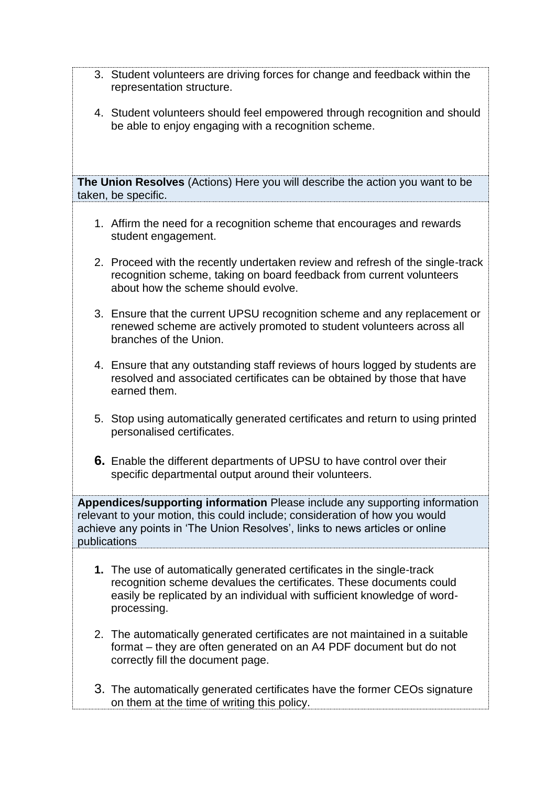- 3. Student volunteers are driving forces for change and feedback within the representation structure.
- 4. Student volunteers should feel empowered through recognition and should be able to enjoy engaging with a recognition scheme.

**The Union Resolves** (Actions) Here you will describe the action you want to be taken, be specific.

- 1. Affirm the need for a recognition scheme that encourages and rewards student engagement.
- 2. Proceed with the recently undertaken review and refresh of the single-track recognition scheme, taking on board feedback from current volunteers about how the scheme should evolve.
- 3. Ensure that the current UPSU recognition scheme and any replacement or renewed scheme are actively promoted to student volunteers across all branches of the Union.
- 4. Ensure that any outstanding staff reviews of hours logged by students are resolved and associated certificates can be obtained by those that have earned them.
- 5. Stop using automatically generated certificates and return to using printed personalised certificates.
- **6.** Enable the different departments of UPSU to have control over their specific departmental output around their volunteers.

**Appendices/supporting information** Please include any supporting information relevant to your motion, this could include; consideration of how you would achieve any points in 'The Union Resolves', links to news articles or online publications

- **1.** The use of automatically generated certificates in the single-track recognition scheme devalues the certificates. These documents could easily be replicated by an individual with sufficient knowledge of wordprocessing.
- 2. The automatically generated certificates are not maintained in a suitable format – they are often generated on an A4 PDF document but do not correctly fill the document page.
- 3. The automatically generated certificates have the former CEOs signature on them at the time of writing this policy.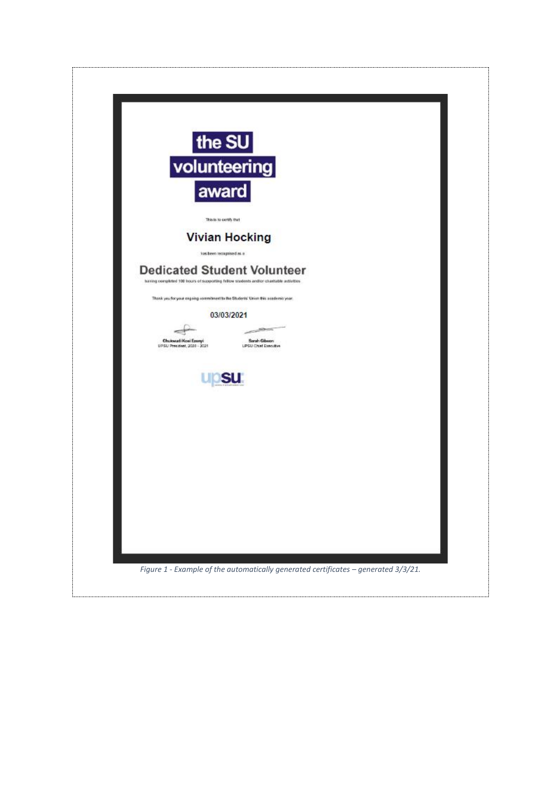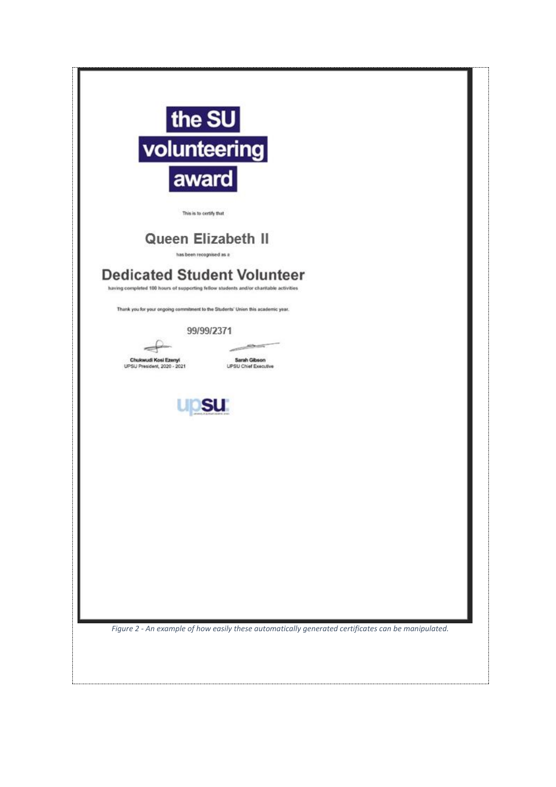